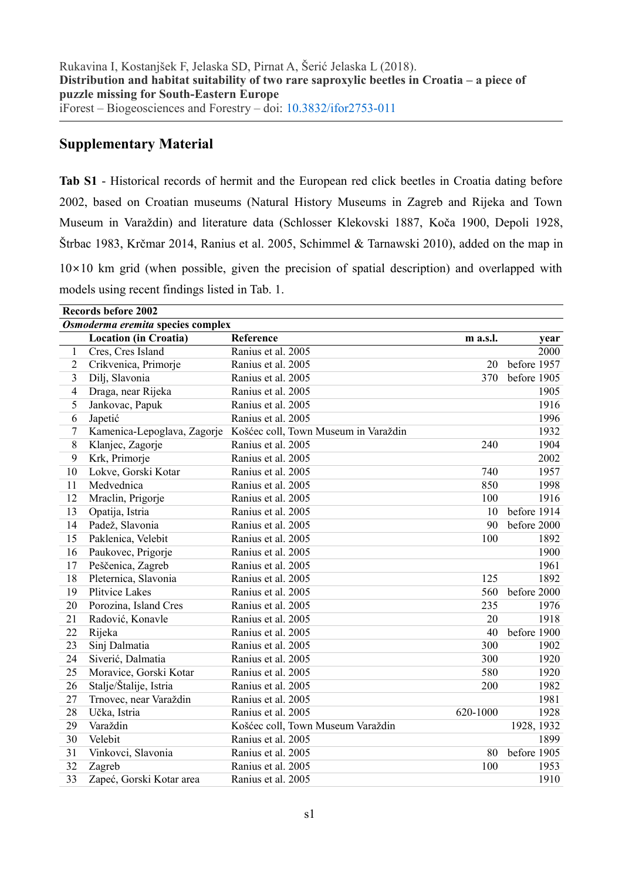## **Supplementary Material**

**Tab S1** - Historical records of hermit and the European red click beetles in Croatia dating before 2002, based on Croatian museums (Natural History Museums in Zagreb and Rijeka and Town Museum in Varaždin) and literature data (Schlosser Klekovski 1887, Koča 1900, Depoli 1928, Štrbac 1983, Krčmar 2014, Ranius et al. 2005, Schimmel & Tarnawski 2010), added on the map in  $10\times10$  km grid (when possible, given the precision of spatial description) and overlapped with models using recent findings listed in Tab. 1.

| <b>Records before 2002</b>        |                              |                                      |          |             |  |  |  |
|-----------------------------------|------------------------------|--------------------------------------|----------|-------------|--|--|--|
| Osmoderma eremita species complex |                              |                                      |          |             |  |  |  |
|                                   | <b>Location (in Croatia)</b> | Reference                            | m a.s.l. | year        |  |  |  |
| 1                                 | Cres, Cres Island            | Ranius et al. 2005                   |          | 2000        |  |  |  |
| $\overline{2}$                    | Crikvenica, Primorje         | Ranius et al. 2005                   | 20       | before 1957 |  |  |  |
| 3                                 | Dilj, Slavonia               | Ranius et al. 2005                   | 370      | before 1905 |  |  |  |
| 4                                 | Draga, near Rijeka           | Ranius et al. 2005                   |          | 1905        |  |  |  |
| 5                                 | Jankovac, Papuk              | Ranius et al. 2005                   |          | 1916        |  |  |  |
| 6                                 | Japetić                      | Ranius et al. 2005                   |          | 1996        |  |  |  |
| 7                                 | Kamenica-Lepoglava, Zagorje  | Košćec coll, Town Museum in Varaždin |          | 1932        |  |  |  |
| 8                                 | Klanjec, Zagorje             | Ranius et al. 2005                   | 240      | 1904        |  |  |  |
| 9                                 | Krk, Primorje                | Ranius et al. 2005                   |          | 2002        |  |  |  |
| 10                                | Lokve, Gorski Kotar          | Ranius et al. 2005                   | 740      | 1957        |  |  |  |
| 11                                | Medvednica                   | Ranius et al. 2005                   | 850      | 1998        |  |  |  |
| 12                                | Mraclin, Prigorje            | Ranius et al. 2005                   | 100      | 1916        |  |  |  |
| 13                                | Opatija, Istria              | Ranius et al. 2005                   | 10       | before 1914 |  |  |  |
| 14                                | Padež, Slavonia              | Ranius et al. 2005                   | 90       | before 2000 |  |  |  |
| 15                                | Paklenica, Velebit           | Ranius et al. 2005                   | 100      | 1892        |  |  |  |
| 16                                | Paukovec, Prigorje           | Ranius et al. 2005                   |          | 1900        |  |  |  |
| 17                                | Peščenica, Zagreb            | Ranius et al. 2005                   |          | 1961        |  |  |  |
| 18                                | Pleternica, Slavonia         | Ranius et al. 2005                   | 125      | 1892        |  |  |  |
| 19                                | Plitvice Lakes               | Ranius et al. 2005                   | 560      | before 2000 |  |  |  |
| 20                                | Porozina, Island Cres        | Ranius et al. 2005                   | 235      | 1976        |  |  |  |
| 21                                | Radović, Konavle             | Ranius et al. 2005                   | 20       | 1918        |  |  |  |
| 22                                | Rijeka                       | Ranius et al. 2005                   | 40       | before 1900 |  |  |  |
| 23                                | Sinj Dalmatia                | Ranius et al. 2005                   | 300      | 1902        |  |  |  |
| 24                                | Siverić, Dalmatia            | Ranius et al. 2005                   | 300      | 1920        |  |  |  |
| 25                                | Moravice, Gorski Kotar       | Ranius et al. 2005                   | 580      | 1920        |  |  |  |
| 26                                | Stalje/Štalije, Istria       | Ranius et al. 2005                   | 200      | 1982        |  |  |  |
| 27                                | Trnovec, near Varaždin       | Ranius et al. 2005                   |          | 1981        |  |  |  |
| 28                                | Učka, Istria                 | Ranius et al. 2005                   | 620-1000 | 1928        |  |  |  |
| 29                                | Varaždin                     | Košćec coll, Town Museum Varaždin    |          | 1928, 1932  |  |  |  |
| 30                                | Velebit                      | Ranius et al. 2005                   |          | 1899        |  |  |  |
| 31                                | Vinkovci, Slavonia           | Ranius et al. 2005                   | 80       | before 1905 |  |  |  |
| 32                                | Zagreb                       | Ranius et al. 2005                   | 100      | 1953        |  |  |  |
| 33                                | Zapeć, Gorski Kotar area     | Ranius et al. 2005                   |          | 1910        |  |  |  |